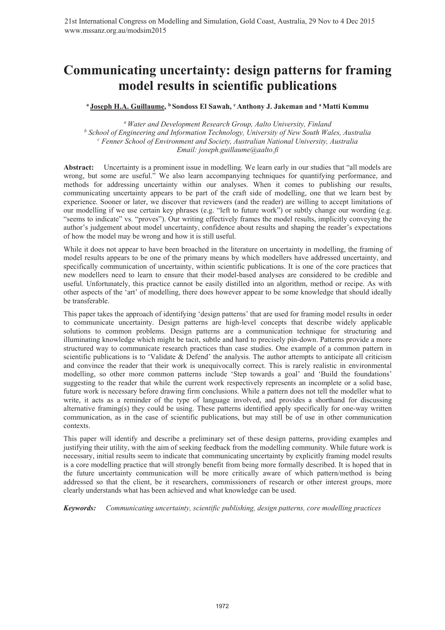# <sup>a</sup> Joseph H.A. Guillaume, <sup>b</sup> Sondoss El Sawah, <sup>c</sup> Anthony J. Jakeman and <sup>a</sup> Matti Kummu

*a Water and Development Research Group, Aalto University, Finland*  <sup>*b*</sup> School of Engineering and Information Technology, University of New South Wales, Australia control Chernalisty control control control of Environment and Society, Australian National University, Australia  *Fenner School of Environment and Society, Australian National University, Australia Email: joseph.guillaume@aalto.fi* 

**Abstract:** Uncertainty is a prominent issue in modelling. We learn early in our studies that "all models are wrong, but some are useful." We also learn accompanying techniques for quantifying performance, and methods for addressing uncertainty within our analyses. When it comes to publishing our results, communicating uncertainty appears to be part of the craft side of modelling, one that we learn best by experience. Sooner or later, we discover that reviewers (and the reader) are willing to accept limitations of our modelling if we use certain key phrases (e.g. "left to future work") or subtly change our wording (e.g. "seems to indicate" vs. "proves"). Our writing effectively frames the model results, implicitly conveying the author's judgement about model uncertainty, confidence about results and shaping the reader's expectations of how the model may be wrong and how it is still useful.

While it does not appear to have been broached in the literature on uncertainty in modelling, the framing of model results appears to be one of the primary means by which modellers have addressed uncertainty, and specifically communication of uncertainty, within scientific publications. It is one of the core practices that new modellers need to learn to ensure that their model-based analyses are considered to be credible and useful. Unfortunately, this practice cannot be easily distilled into an algorithm, method or recipe. As with other aspects of the 'art' of modelling, there does however appear to be some knowledge that should ideally be transferable.

This paper takes the approach of identifying 'design patterns' that are used for framing model results in order to communicate uncertainty. Design patterns are high-level concepts that describe widely applicable solutions to common problems. Design patterns are a communication technique for structuring and illuminating knowledge which might be tacit, subtle and hard to precisely pin-down. Patterns provide a more structured way to communicate research practices than case studies. One example of a common pattern in scientific publications is to 'Validate  $\&$  Defend' the analysis. The author attempts to anticipate all criticism and convince the reader that their work is unequivocally correct. This is rarely realistic in environmental modelling, so other more common patterns include 'Step towards a goal' and 'Build the foundations' suggesting to the reader that while the current work respectively represents an incomplete or a solid base, future work is necessary before drawing firm conclusions. While a pattern does not tell the modeller what to write, it acts as a reminder of the type of language involved, and provides a shorthand for discussing alternative framing(s) they could be using. These patterns identified apply specifically for one-way written communication, as in the case of scientific publications, but may still be of use in other communication contexts.

This paper will identify and describe a preliminary set of these design patterns, providing examples and justifying their utility, with the aim of seeking feedback from the modelling community. While future work is necessary, initial results seem to indicate that communicating uncertainty by explicitly framing model results is a core modelling practice that will strongly benefit from being more formally described. It is hoped that in the future uncertainty communication will be more critically aware of which pattern/method is being addressed so that the client, be it researchers, commissioners of research or other interest groups, more clearly understands what has been achieved and what knowledge can be used.

*Keywords: Communicating uncertainty, scientific publishing, design patterns, core modelling practices*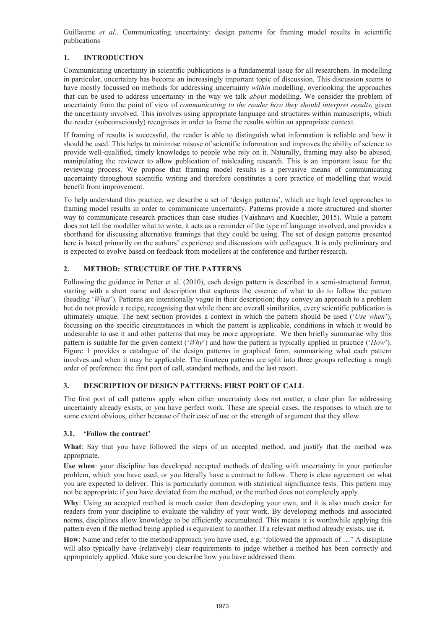# **1. INTRODUCTION**

Communicating uncertainty in scientific publications is a fundamental issue for all researchers. In modelling in particular, uncertainty has become an increasingly important topic of discussion. This discussion seems to have mostly focussed on methods for addressing uncertainty *within* modelling, overlooking the approaches that can be used to address uncertainty in the way we talk *about* modelling. We consider the problem of uncertainty from the point of view of *communicating to the reader how they should interpret results*, given the uncertainty involved. This involves using appropriate language and structures within manuscripts, which the reader (subconsciously) recognises in order to frame the results within an appropriate context.

If framing of results is successful, the reader is able to distinguish what information is reliable and how it should be used. This helps to minimise misuse of scientific information and improves the ability of science to provide well-qualified, timely knowledge to people who rely on it. Naturally, framing may also be abused, manipulating the reviewer to allow publication of misleading research. This is an important issue for the reviewing process. We propose that framing model results is a pervasive means of communicating uncertainty throughout scientific writing and therefore constitutes a core practice of modelling that would benefit from improvement.

To help understand this practice, we describe a set of 'design patterns', which are high level approaches to framing model results in order to communicate uncertainty. Patterns provide a more structured and shorter way to communicate research practices than case studies (Vaishnavi and Kuechler, 2015). While a pattern does not tell the modeller what to write, it acts as a reminder of the type of language involved, and provides a shorthand for discussing alternative framings that they could be using. The set of design patterns presented here is based primarily on the authors' experience and discussions with colleagues. It is only preliminary and is expected to evolve based on feedback from modellers at the conference and further research.

# **2. METHOD: STRUCTURE OF THE PATTERNS**

Following the guidance in Petter et al. (2010), each design pattern is described in a semi-structured format, starting with a short name and description that captures the essence of what to do to follow the pattern (heading '*What*'). Patterns are intentionally vague in their description; they convey an approach to a problem but do not provide a recipe, recognising that while there are overall similarities, every scientific publication is ultimately unique. The next section provides a context in which the pattern should be used ('*Use when*'), focussing on the specific circumstances in which the pattern is applicable, conditions in which it would be undesirable to use it and other patterns that may be more appropriate. We then briefly summarise why this pattern is suitable for the given context ('*Why*') and how the pattern is typically applied in practice ('*How*'). Figure 1 provides a catalogue of the design patterns in graphical form, summarising what each pattern involves and when it may be applicable. The fourteen patterns are split into three groups reflecting a rough order of preference: the first port of call, standard methods, and the last resort.

# **3. DESCRIPTION OF DESIGN PATTERNS: FIRST PORT OF CALL**

The first port of call patterns apply when either uncertainty does not matter, a clear plan for addressing uncertainty already exists, or you have perfect work. These are special cases, the responses to which are to some extent obvious, either because of their ease of use or the strength of argument that they allow.

#### **3.1. 'Follow the contract'**

**What**: Say that you have followed the steps of an accepted method, and justify that the method was appropriate.

**Use when**: your discipline has developed accepted methods of dealing with uncertainty in your particular problem, which you have used, or you literally have a contract to follow. There is clear agreement on what you are expected to deliver. This is particularly common with statistical significance tests. This pattern may not be appropriate if you have deviated from the method, or the method does not completely apply.

**Why**: Using an accepted method is much easier than developing your own, and it is also much easier for readers from your discipline to evaluate the validity of your work. By developing methods and associated norms, disciplines allow knowledge to be efficiently accumulated. This means it is worthwhile applying this pattern even if the method being applied is equivalent to another. If a relevant method already exists, use it.

**How**: Name and refer to the method/approach you have used, e.g. 'followed the approach of …" A discipline will also typically have (relatively) clear requirements to judge whether a method has been correctly and appropriately applied. Make sure you describe how you have addressed them.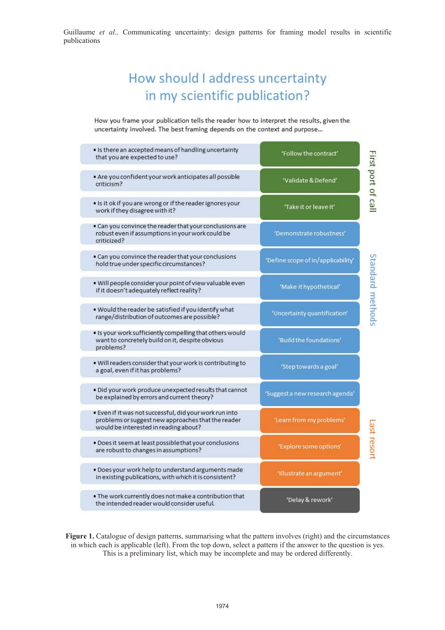# How should I address uncertainty in my scientific publication?

How you frame your publication tells the reader how to interpret the results, given the uncertainty involved. The best framing depends on the context and purpose...

| . Is there an accepted means of handling uncertainty<br>that you are expected to use?                                                                  | 'Follow the contract'              |                    |
|--------------------------------------------------------------------------------------------------------------------------------------------------------|------------------------------------|--------------------|
| . Are you confident your work anticipates all possible<br>criticism?                                                                                   | 'Validate & Defend'                | First port of call |
| . Is it ok if you are wrong or if the reader ignores your<br>work if they disagree with it?                                                            | 'Take it or leave it'              |                    |
| . Can you convince the reader that your conclusions are<br>robust even if assumptions in your work could be<br>criticized?                             | 'Demonstrate robustness'           |                    |
| . Can you convince the reader that your conclusions<br>hold true under specific circumstances?                                                         | 'Define scope of in/applicability' |                    |
| . Will people consider your point of view valuable even<br>if it doesn't adequately reflect reality?                                                   | 'Make it hypothetical'             | Standard methods   |
| . Would the reader be satisfied if you identify what<br>range/distribution of outcomes are possible?                                                   | 'Uncertainty quantification'       |                    |
| . Is your work sufficiently compelling that others would<br>want to concretely build on it, despite obvious<br>problems?                               | 'Build the foundations'            |                    |
| . Will readers consider that your work is contributing to<br>a goal, even if it has problems?                                                          | 'Step towards a goal'              |                    |
| . Did your work produce unexpected results that cannot<br>be explained by errors and current theory?                                                   | 'Suggest a new research agenda'    |                    |
| · Even if it was not successful, did your work run into<br>problems or suggest new approaches that the reader<br>would be interested in reading about? | 'Learn from my problems'           |                    |
| . Does it seem at least possible that your conclusions<br>are robust to changes in assumptions?                                                        | 'Explore some options'             | ast resort         |
| . Does your work help to understand arguments made<br>in existing publications, with which it is consistent?                                           | 'Illustrate an argument'           |                    |
| . The work currently does not make a contribution that<br>the intended reader would consider useful.                                                   | 'Delay & rework'                   |                    |

Figure 1. Catalogue of design patterns, summarising what the pattern involves (right) and the circumstances in which each is applicable (left). From the top down, select a pattern if the answer to the question is yes. This is a preliminary list, which may be incomplete and may be ordered differently.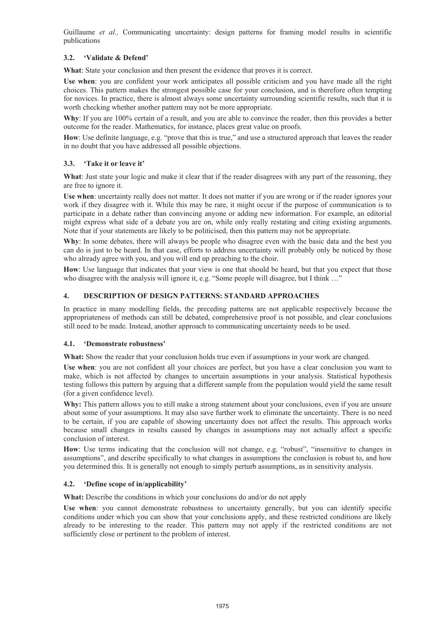# **3.2. 'Validate & Defend'**

**What**: State your conclusion and then present the evidence that proves it is correct.

**Use when**: you are confident your work anticipates all possible criticism and you have made all the right choices. This pattern makes the strongest possible case for your conclusion, and is therefore often tempting for novices. In practice, there is almost always some uncertainty surrounding scientific results, such that it is worth checking whether another pattern may not be more appropriate.

Why: If you are 100% certain of a result, and you are able to convince the reader, then this provides a better outcome for the reader. Mathematics, for instance, places great value on proofs.

How: Use definite language, e.g. "prove that this is true," and use a structured approach that leaves the reader in no doubt that you have addressed all possible objections.

#### **3.3. 'Take it or leave it'**

**What**: Just state your logic and make it clear that if the reader disagrees with any part of the reasoning, they are free to ignore it.

**Use when**: uncertainty really does not matter. It does not matter if you are wrong or if the reader ignores your work if they disagree with it. While this may be rare, it might occur if the purpose of communication is to participate in a debate rather than convincing anyone or adding new information. For example, an editorial might express what side of a debate you are on, while only really restating and citing existing arguments. Note that if your statements are likely to be politicised, then this pattern may not be appropriate.

Why: In some debates, there will always be people who disagree even with the basic data and the best you can do is just to be heard. In that case, efforts to address uncertainty will probably only be noticed by those who already agree with you, and you will end up preaching to the choir.

How: Use language that indicates that your view is one that should be heard, but that you expect that those who disagree with the analysis will ignore it, e.g. "Some people will disagree, but I think ..."

#### **4. DESCRIPTION OF DESIGN PATTERNS: STANDARD APPROACHES**

In practice in many modelling fields, the preceding patterns are not applicable respectively because the appropriateness of methods can still be debated, comprehensive proof is not possible, and clear conclusions still need to be made. Instead, another approach to communicating uncertainty needs to be used.

#### **4.1. 'Demonstrate robustness'**

**What:** Show the reader that your conclusion holds true even if assumptions in your work are changed.

**Use when**: you are not confident all your choices are perfect, but you have a clear conclusion you want to make, which is not affected by changes to uncertain assumptions in your analysis. Statistical hypothesis testing follows this pattern by arguing that a different sample from the population would yield the same result (for a given confidence level).

**Why:** This pattern allows you to still make a strong statement about your conclusions, even if you are unsure about some of your assumptions. It may also save further work to eliminate the uncertainty. There is no need to be certain, if you are capable of showing uncertainty does not affect the results. This approach works because small changes in results caused by changes in assumptions may not actually affect a specific conclusion of interest.

**How**: Use terms indicating that the conclusion will not change, e.g. "robust", "insensitive to changes in assumptions", and describe specifically to what changes in assumptions the conclusion is robust to, and how you determined this. It is generally not enough to simply perturb assumptions, as in sensitivity analysis.

#### **4.2. 'Define scope of in/applicability'**

**What:** Describe the conditions in which your conclusions do and/or do not apply

**Use when**: you cannot demonstrate robustness to uncertainty generally, but you can identify specific conditions under which you can show that your conclusions apply, and these restricted conditions are likely already to be interesting to the reader. This pattern may not apply if the restricted conditions are not sufficiently close or pertinent to the problem of interest.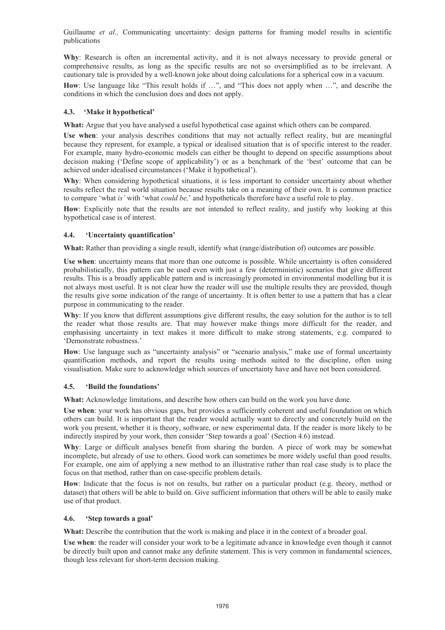**Why**: Research is often an incremental activity, and it is not always necessary to provide general or comprehensive results, as long as the specific results are not so oversimplified as to be irrelevant. A cautionary tale is provided by a well-known joke about doing calculations for a spherical cow in a vacuum.

**How**: Use language like "This result holds if …", and "This does not apply when …", and describe the conditions in which the conclusion does and does not apply.

#### **4.3. 'Make it hypothetical'**

What: Argue that you have analysed a useful hypothetical case against which others can be compared.

**Use when**: your analysis describes conditions that may not actually reflect reality, but are meaningful because they represent, for example, a typical or idealised situation that is of specific interest to the reader. For example, many hydro-economic models can either be thought to depend on specific assumptions about decision making ('Define scope of applicability') or as a benchmark of the 'best' outcome that can be achieved under idealised circumstances ('Make it hypothetical').

**Why**: When considering hypothetical situations, it is less important to consider uncertainty about whether results reflect the real world situation because results take on a meaning of their own. It is common practice to compare 'what *is'* with 'what *could be,*' and hypotheticals therefore have a useful role to play.

**How**: Explicitly note that the results are not intended to reflect reality, and justify why looking at this hypothetical case is of interest.

#### **4.4. 'Uncertainty quantification'**

What: Rather than providing a single result, identify what (range/distribution of) outcomes are possible.

**Use when**: uncertainty means that more than one outcome is possible. While uncertainty is often considered probabilistically, this pattern can be used even with just a few (deterministic) scenarios that give different results. This is a broadly applicable pattern and is increasingly promoted in environmental modelling but it is not always most useful. It is not clear how the reader will use the multiple results they are provided, though the results give some indication of the range of uncertainty. It is often better to use a pattern that has a clear purpose in communicating to the reader.

**Why**: If you know that different assumptions give different results, the easy solution for the author is to tell the reader what those results are. That may however make things more difficult for the reader, and emphasising uncertainty in text makes it more difficult to make strong statements, e.g. compared to 'Demonstrate robustness.'

How: Use language such as "uncertainty analysis" or "scenario analysis," make use of formal uncertainty quantification methods, and report the results using methods suited to the discipline, often using visualisation. Make sure to acknowledge which sources of uncertainty have and have not been considered.

#### **4.5. 'Build the foundations'**

**What:** Acknowledge limitations, and describe how others can build on the work you have done.

**Use when**: your work has obvious gaps, but provides a sufficiently coherent and useful foundation on which others can build. It is important that the reader would actually want to directly and concretely build on the work you present, whether it is theory, software, or new experimental data. If the reader is more likely to be indirectly inspired by your work, then consider 'Step towards a goal' (Section 4.6) instead.

**Why**: Large or difficult analyses benefit from sharing the burden. A piece of work may be somewhat incomplete, but already of use to others. Good work can sometimes be more widely useful than good results. For example, one aim of applying a new method to an illustrative rather than real case study is to place the focus on that method, rather than on case-specific problem details.

**How**: Indicate that the focus is not on results, but rather on a particular product (e.g. theory, method or dataset) that others will be able to build on. Give sufficient information that others will be able to easily make use of that product.

#### **4.6. 'Step towards a goal'**

**What:** Describe the contribution that the work is making and place it in the context of a broader goal.

**Use when**: the reader will consider your work to be a legitimate advance in knowledge even though it cannot be directly built upon and cannot make any definite statement. This is very common in fundamental sciences, though less relevant for short-term decision making.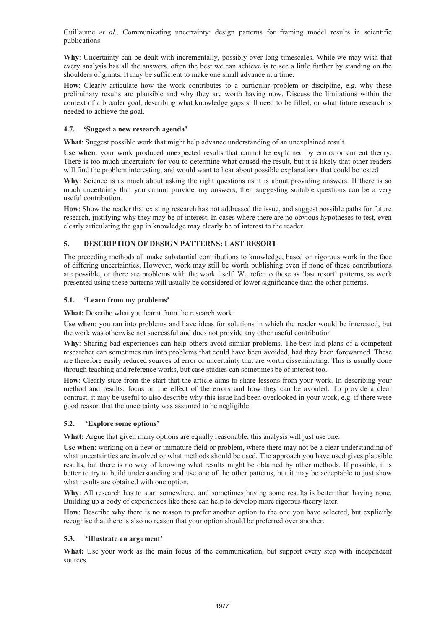**Why**: Uncertainty can be dealt with incrementally, possibly over long timescales. While we may wish that every analysis has all the answers, often the best we can achieve is to see a little further by standing on the shoulders of giants. It may be sufficient to make one small advance at a time.

How: Clearly articulate how the work contributes to a particular problem or discipline, e.g. why these preliminary results are plausible and why they are worth having now. Discuss the limitations within the context of a broader goal, describing what knowledge gaps still need to be filled, or what future research is needed to achieve the goal.

# **4.7. 'Suggest a new research agenda'**

**What**: Suggest possible work that might help advance understanding of an unexplained result.

**Use when**: your work produced unexpected results that cannot be explained by errors or current theory. There is too much uncertainty for you to determine what caused the result, but it is likely that other readers will find the problem interesting, and would want to hear about possible explanations that could be tested

**Why**: Science is as much about asking the right questions as it is about providing answers. If there is so much uncertainty that you cannot provide any answers, then suggesting suitable questions can be a very useful contribution.

**How**: Show the reader that existing research has not addressed the issue, and suggest possible paths for future research, justifying why they may be of interest. In cases where there are no obvious hypotheses to test, even clearly articulating the gap in knowledge may clearly be of interest to the reader.

# **5. DESCRIPTION OF DESIGN PATTERNS: LAST RESORT**

The preceding methods all make substantial contributions to knowledge, based on rigorous work in the face of differing uncertainties. However, work may still be worth publishing even if none of these contributions are possible, or there are problems with the work itself. We refer to these as 'last resort' patterns, as work presented using these patterns will usually be considered of lower significance than the other patterns.

# **5.1. 'Learn from my problems'**

**What:** Describe what you learnt from the research work.

**Use when**: you ran into problems and have ideas for solutions in which the reader would be interested, but the work was otherwise not successful and does not provide any other useful contribution

**Why**: Sharing bad experiences can help others avoid similar problems. The best laid plans of a competent researcher can sometimes run into problems that could have been avoided, had they been forewarned. These are therefore easily reduced sources of error or uncertainty that are worth disseminating. This is usually done through teaching and reference works, but case studies can sometimes be of interest too.

**How**: Clearly state from the start that the article aims to share lessons from your work. In describing your method and results, focus on the effect of the errors and how they can be avoided. To provide a clear contrast, it may be useful to also describe why this issue had been overlooked in your work, e.g. if there were good reason that the uncertainty was assumed to be negligible.

#### **5.2. 'Explore some options'**

**What:** Argue that given many options are equally reasonable, this analysis will just use one.

**Use when**: working on a new or immature field or problem, where there may not be a clear understanding of what uncertainties are involved or what methods should be used. The approach you have used gives plausible results, but there is no way of knowing what results might be obtained by other methods. If possible, it is better to try to build understanding and use one of the other patterns, but it may be acceptable to just show what results are obtained with one option.

Why: All research has to start somewhere, and sometimes having some results is better than having none. Building up a body of experiences like these can help to develop more rigorous theory later.

**How**: Describe why there is no reason to prefer another option to the one you have selected, but explicitly recognise that there is also no reason that your option should be preferred over another.

#### **5.3. 'Illustrate an argument'**

**What:** Use your work as the main focus of the communication, but support every step with independent sources.